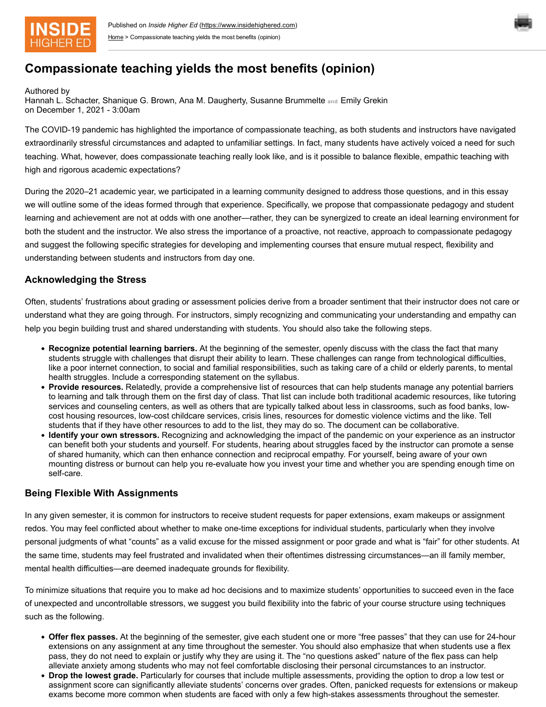



# **Compassionate teaching yields the most benefits (opinion)**

Authored by

Hannah L. Schacter, Shanique G. Brown, Ana M. Daugherty, Susanne Brummelte **and** Emily Grekin on December 1, 2021 - 3:00am

The COVID-19 pandemic has highlighted the importance of compassionate teaching, as both students and instructors have navigated extraordinarily stressful circumstances and adapted to unfamiliar settings. In fact, many students have actively voiced a need for such teaching. What, however, does compassionate teaching really look like, and is it possible to balance flexible, empathic teaching with high and rigorous academic expectations?

During the 2020–21 academic year, we participated in a learning community designed to address those questions, and in this essay we will outline some of the ideas formed through that experience. Specifically, we propose that compassionate pedagogy and student learning and achievement are not at odds with one another—rather, they can be synergized to create an ideal learning environment for both the student and the instructor. We also stress the importance of a proactive, not reactive, approach to compassionate pedagogy and suggest the following specific strategies for developing and implementing courses that ensure mutual respect, flexibility and understanding between students and instructors from day one.

### **Acknowledging the Stress**

Often, students' frustrations about grading or assessment policies derive from a broader sentiment that their instructor does not care or understand what they are going through. For instructors, simply recognizing and communicating your understanding and empathy can help you begin building trust and shared understanding with students. You should also take the following steps.

- **Recognize potential learning barriers.** At the beginning of the semester, openly discuss with the class the fact that many students struggle with challenges that disrupt their ability to learn. These challenges can range from technological difficulties, like a poor internet connection, to social and familial responsibilities, such as taking care of a child or elderly parents, to mental health struggles. Include a corresponding statement on the syllabus.
- **Provide resources.** Relatedly, provide a comprehensive list of resources that can help students manage any potential barriers to learning and talk through them on the first day of class. That list can include both traditional academic resources, like tutoring services and counseling centers, as well as others that are typically talked about less in classrooms, such as food banks, lowcost housing resources, low-cost childcare services, crisis lines, resources for domestic violence victims and the like. Tell students that if they have other resources to add to the list, they may do so. The document can be collaborative.
- **Identify your own stressors.** Recognizing and acknowledging the impact of the pandemic on your experience as an instructor can benefit both your students and yourself. For students, hearing about struggles faced by the instructor can promote a sense of shared humanity, which can then enhance connection and reciprocal empathy. For yourself, being aware of your own mounting distress or burnout can help you re-evaluate how you invest your time and whether you are spending enough time on self-care.

#### **Being Flexible With Assignments**

In any given semester, it is common for instructors to receive student requests for paper extensions, exam makeups or assignment redos. You may feel conflicted about whether to make one-time exceptions for individual students, particularly when they involve personal judgments of what "counts" as a valid excuse for the missed assignment or poor grade and what is "fair" for other students. At the same time, students may feel frustrated and invalidated when their oftentimes distressing circumstances—an ill family member, mental health difficulties—are deemed inadequate grounds for flexibility.

To minimize situations that require you to make ad hoc decisions and to maximize students' opportunities to succeed even in the face of unexpected and uncontrollable stressors, we suggest you build flexibility into the fabric of your course structure using techniques such as the following.

- **Offer flex passes.** At the beginning of the semester, give each student one or more "free passes" that they can use for 24-hour extensions on any assignment at any time throughout the semester. You should also emphasize that when students use a flex pass, they do not need to explain or justify why they are using it. The "no questions asked" nature of the flex pass can help alleviate anxiety among students who may not feel comfortable disclosing their personal circumstances to an instructor.
- **Drop the lowest grade.** Particularly for courses that include multiple assessments, providing the option to drop a low test or assignment score can significantly alleviate students' concerns over grades. Often, panicked requests for extensions or makeup exams become more common when students are faced with only a few high-stakes assessments throughout the semester.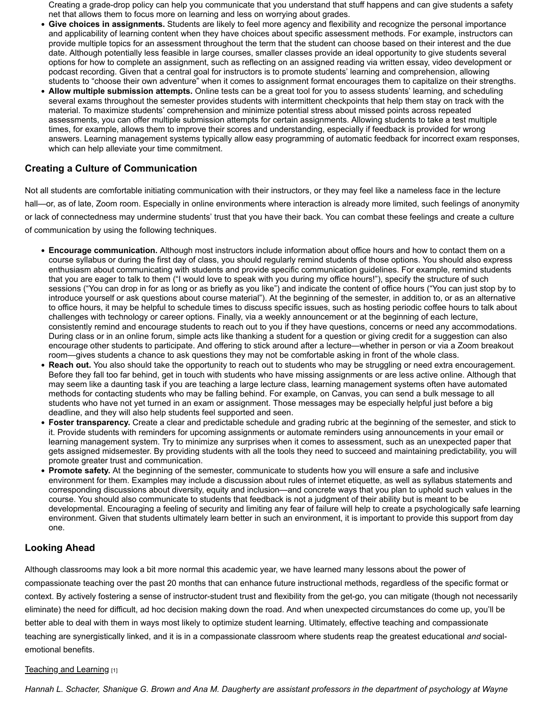Creating a grade-drop policy can help you communicate that you understand that stuff happens and can give students a safety net that allows them to focus more on learning and less on worrying about grades.

- **Give choices in assignments.** Students are likely to feel more agency and flexibility and recognize the personal importance and applicability of learning content when they have choices about specific assessment methods. For example, instructors can provide multiple topics for an assessment throughout the term that the student can choose based on their interest and the due date. Although potentially less feasible in large courses, smaller classes provide an ideal opportunity to give students several options for how to complete an assignment, such as reflecting on an assigned reading via written essay, video development or podcast recording. Given that a central goal for instructors is to promote students' learning and comprehension, allowing students to "choose their own adventure" when it comes to assignment format encourages them to capitalize on their strengths.
- **Allow multiple submission attempts.** Online tests can be a great tool for you to assess students' learning, and scheduling several exams throughout the semester provides students with intermittent checkpoints that help them stay on track with the material. To maximize students' comprehension and minimize potential stress about missed points across repeated assessments, you can offer multiple submission attempts for certain assignments. Allowing students to take a test multiple times, for example, allows them to improve their scores and understanding, especially if feedback is provided for wrong answers. Learning management systems typically allow easy programming of automatic feedback for incorrect exam responses, which can help alleviate your time commitment.

## **Creating a Culture of Communication**

Not all students are comfortable initiating communication with their instructors, or they may feel like a nameless face in the lecture hall—or, as of late, Zoom room. Especially in online environments where interaction is already more limited, such feelings of anonymity or lack of connectedness may undermine students' trust that you have their back. You can combat these feelings and create a culture of communication by using the following techniques.

- **Encourage communication.** Although most instructors include information about office hours and how to contact them on a course syllabus or during the first day of class, you should regularly remind students of those options. You should also express enthusiasm about communicating with students and provide specific communication guidelines. For example, remind students that you are eager to talk to them ("I would love to speak with you during my office hours!"), specify the structure of such sessions ("You can drop in for as long or as briefly as you like") and indicate the content of office hours ("You can just stop by to introduce yourself or ask questions about course material"). At the beginning of the semester, in addition to, or as an alternative to office hours, it may be helpful to schedule times to discuss specific issues, such as hosting periodic coffee hours to talk about challenges with technology or career options. Finally, via a weekly announcement or at the beginning of each lecture, consistently remind and encourage students to reach out to you if they have questions, concerns or need any accommodations. During class or in an online forum, simple acts like thanking a student for a question or giving credit for a suggestion can also encourage other students to participate. And offering to stick around after a lecture—whether in person or via a Zoom breakout room—gives students a chance to ask questions they may not be comfortable asking in front of the whole class.
- **Reach out.** You also should take the opportunity to reach out to students who may be struggling or need extra encouragement. Before they fall too far behind, get in touch with students who have missing assignments or are less active online. Although that may seem like a daunting task if you are teaching a large lecture class, learning management systems often have automated methods for contacting students who may be falling behind. For example, on Canvas, you can send a bulk message to all students who have not yet turned in an exam or assignment. Those messages may be especially helpful just before a big deadline, and they will also help students feel supported and seen.
- **Foster transparency.** Create a clear and predictable schedule and grading rubric at the beginning of the semester, and stick to it. Provide students with reminders for upcoming assignments or automate reminders using announcements in your email or learning management system. Try to minimize any surprises when it comes to assessment, such as an unexpected paper that gets assigned midsemester. By providing students with all the tools they need to succeed and maintaining predictability, you will promote greater trust and communication.
- **Promote safety.** At the beginning of the semester, communicate to students how you will ensure a safe and inclusive environment for them. Examples may include a discussion about rules of internet etiquette, as well as syllabus statements and corresponding discussions about diversity, equity and inclusion—and concrete ways that you plan to uphold such values in the course. You should also communicate to students that feedback is not a judgment of their ability but is meant to be developmental. Encouraging a feeling of security and limiting any fear of failure will help to create a psychologically safe learning environment. Given that students ultimately learn better in such an environment, it is important to provide this support from day one.

## **Looking Ahead**

Although classrooms may look a bit more normal this academic year, we have learned many lessons about the power of compassionate teaching over the past 20 months that can enhance future instructional methods, regardless of the specific format or context. By actively fostering a sense of instructor-student trust and flexibility from the get-go, you can mitigate (though not necessarily eliminate) the need for difficult, ad hoc decision making down the road. And when unexpected circumstances do come up, you'll be better able to deal with them in ways most likely to optimize student learning. Ultimately, effective teaching and compassionate teaching are synergistically linked, and it is in a compassionate classroom where students reap the greatest educational *and* socialemotional benefits.

#### [Teaching and Learning](https://www.insidehighered.com/news/focus/teaching-and-learning) [1]

*Hannah L. Schacter, Shanique G. Brown and Ana M. Daugherty are assistant professors in the department of psychology at Wayne*